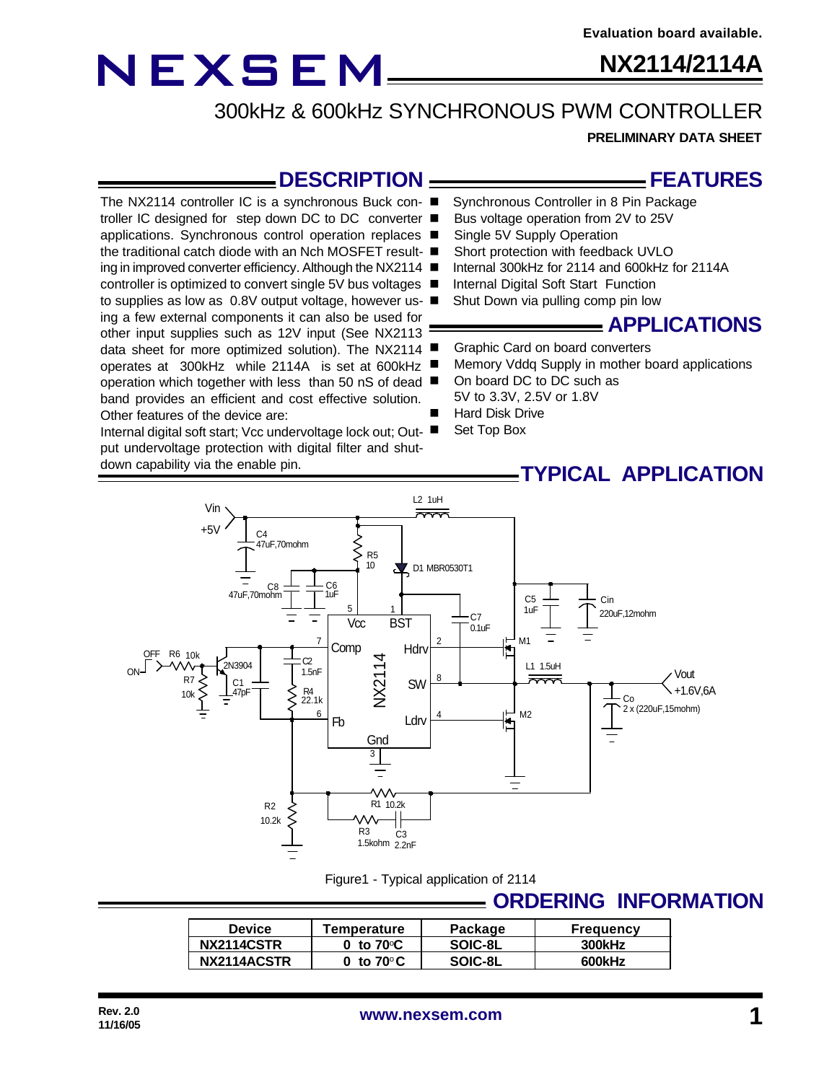## **NX2114/2114A**

300kHz & 600kHz SYNCHRONOUS PWM CONTROLLER

**PRELIMINARY DATA SHEET**

### **DESCRIPTION**

The NX2114 controller IC is a synchronous Buck con- ■ troller IC designed for step down DC to DC converter ■ applications. Synchronous control operation replaces ■ the traditional catch diode with an Nch MOSFET result- ■ ing in improved converter efficiency. Although the NX2114 ■ controller is optimized to convert single 5V bus voltages ■ to supplies as low as 0.8V output voltage, however us- ■ ing a few external components it can also be used for other input supplies such as 12V input (See NX2113 data sheet for more optimized solution). The NX2114 operates at 300kHz while 2114A is set at 600kHz operation which together with less than 50 nS of dead ■ band provides an efficient and cost effective solution. Other features of the device are:

Internal digital soft start; Vcc undervoltage lock out; Output undervoltage protection with digital filter and shutdown capability via the enable pin.

### **FEATURES**

- Synchronous Controller in 8 Pin Package
- Bus voltage operation from 2V to 25V
- Single 5V Supply Operation
- Short protection with feedback UVLO
- Internal 300kHz for 2114 and 600kHz for 2114A
- Internal Digital Soft Start Function
- Shut Down via pulling comp pin low

### **APPLICATIONS**

- Graphic Card on board converters
- Memory Vddq Supply in mother board applications
- On board DC to DC such as 5V to 3.3V, 2.5V or 1.8V
- Hard Disk Drive
- Set Top Box

### **TYPICAL APPLICATION**



#### Figure1 - Typical application of 2114

### **ORDERING INFORMATION**

| <b>Device</b> | Temperature         | Package | <b>Frequency</b> |
|---------------|---------------------|---------|------------------|
| NX2114CSTR    | 0 to $70^{\circ}$ C | SOIC-8L | 300kHz           |
| NX2114ACSTR   | 0 to $70^{\circ}$ C | SOIC-8L | 600kHz           |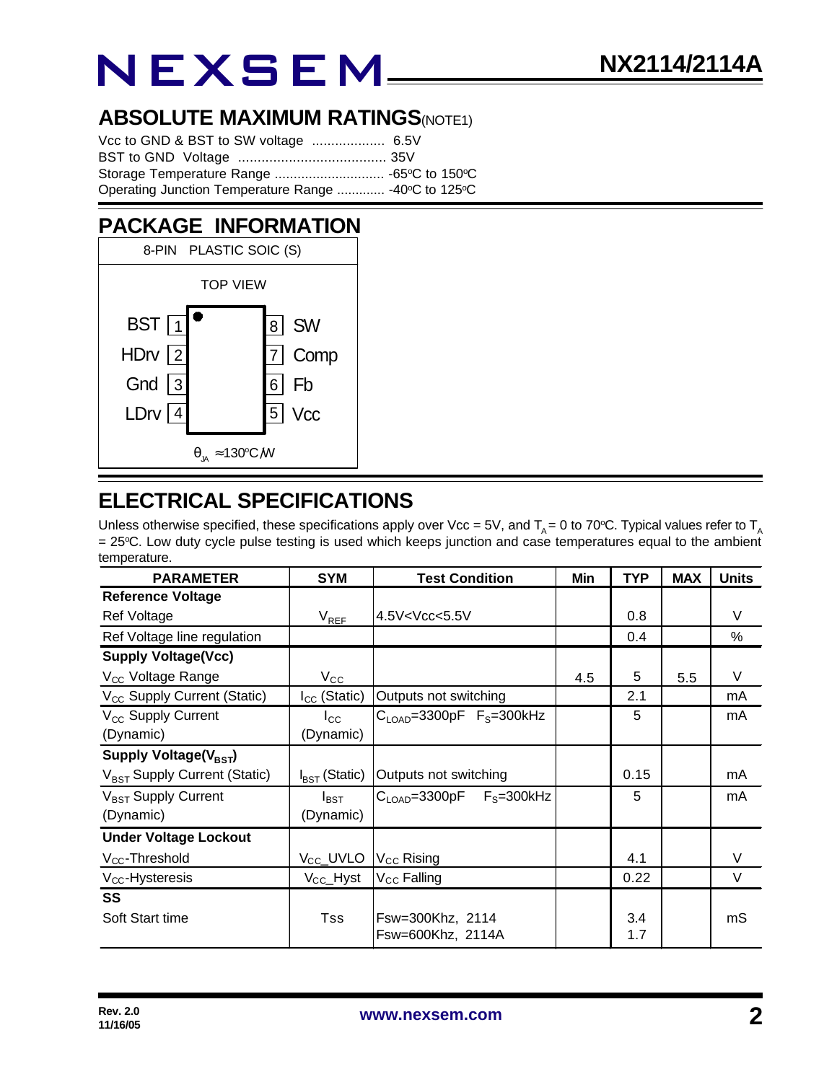### **ABSOLUTE MAXIMUM RATINGS(NOTE1)**

| Operating Junction Temperature Range  -40°C to 125°C |  |
|------------------------------------------------------|--|

## **PACKAGE INFORMATION**



### **ELECTRICAL SPECIFICATIONS**

Unless otherwise specified, these specifications apply over Vcc = 5V, and  $T_A$  = 0 to 70°C. Typical values refer to  $T_A$ = 25°C. Low duty cycle pulse testing is used which keeps junction and case temperatures equal to the ambient temperature.

| <b>PARAMETER</b>                         | <b>SYM</b>                | <b>Test Condition</b>                     | Min | <b>TYP</b> | <b>MAX</b> | <b>Units</b> |
|------------------------------------------|---------------------------|-------------------------------------------|-----|------------|------------|--------------|
| <b>Reference Voltage</b>                 |                           |                                           |     |            |            |              |
| <b>Ref Voltage</b>                       | $\rm V_{REF}$             | $4.5V<$ Vcc $<$ 5.5V                      |     | 0.8        |            | V            |
| Ref Voltage line regulation              |                           |                                           |     | 0.4        |            | %            |
| <b>Supply Voltage(Vcc)</b>               |                           |                                           |     |            |            |              |
| V <sub>CC</sub> Voltage Range            | $V_{\rm CC}$              |                                           | 4.5 | 5          | 5.5        | V            |
| V <sub>CC</sub> Supply Current (Static)  | $I_{CC}$ (Static)         | Outputs not switching                     |     | 2.1        |            | mA           |
| V <sub>cc</sub> Supply Current           | $I_{\rm CC}$              | $CLOAD=3300pF FS=300kHz$                  |     | 5          |            | mA           |
| (Dynamic)                                | (Dynamic)                 |                                           |     |            |            |              |
| Supply Voltage(V <sub>BST</sub> )        |                           |                                           |     |            |            |              |
| V <sub>BST</sub> Supply Current (Static) | $I_{\text{BST}}$ (Static) | Outputs not switching                     |     | 0.15       |            | mA           |
| V <sub>BST</sub> Supply Current          | $I_{\text{BST}}$          | $C_{\text{LOAD}} = 3300pF$ $F_S = 300kHz$ |     | 5          |            | mA           |
| (Dynamic)                                | (Dynamic)                 |                                           |     |            |            |              |
| <b>Under Voltage Lockout</b>             |                           |                                           |     |            |            |              |
| V <sub>cc</sub> -Threshold               | V <sub>CC</sub> _UVLO     | V <sub>CC</sub> Rising                    |     | 4.1        |            | V            |
| $V_{CC}$ -Hysteresis                     | $V_{\rm CC}$ Hyst         | V <sub>CC</sub> Falling                   |     | 0.22       |            | V            |
| SS                                       |                           |                                           |     |            |            |              |
| Soft Start time                          | Tss                       | Fsw=300Khz, 2114                          |     | 3.4        |            | mS           |
|                                          |                           | Fsw=600Khz, 2114A                         |     | 1.7        |            |              |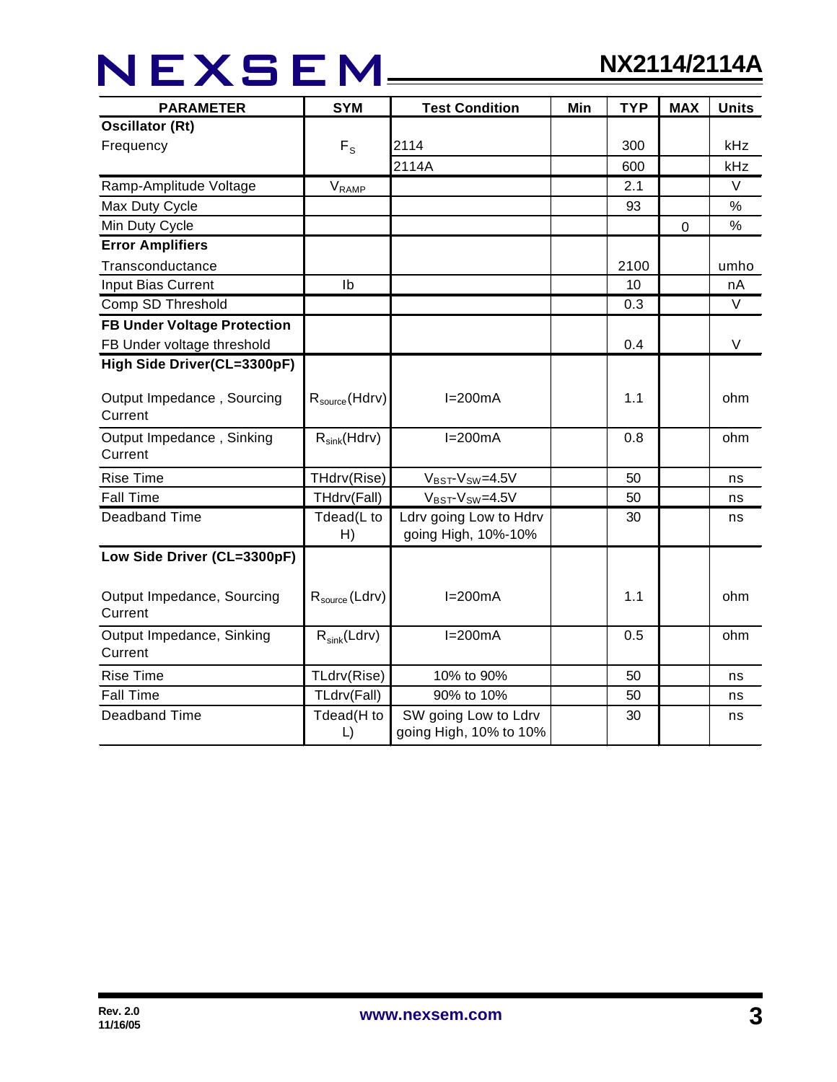## NEXSEM\_\_\_\_\_

| <b>PARAMETER</b>                      | <b>SYM</b>                | <b>Test Condition</b>                          | Min | <b>TYP</b> | <b>MAX</b> | <b>Units</b> |
|---------------------------------------|---------------------------|------------------------------------------------|-----|------------|------------|--------------|
| <b>Oscillator (Rt)</b>                |                           |                                                |     |            |            |              |
| Frequency                             | $F_S$                     | 2114                                           |     | 300        |            | kHz          |
|                                       |                           | 2114A                                          |     | 600        |            | kHz          |
| Ramp-Amplitude Voltage                | V <sub>RAMP</sub>         |                                                |     | 2.1        |            | V            |
| Max Duty Cycle                        |                           |                                                |     | 93         |            | $\%$         |
| Min Duty Cycle                        |                           |                                                |     |            | 0          | %            |
| <b>Error Amplifiers</b>               |                           |                                                |     |            |            |              |
| Transconductance                      |                           |                                                |     | 2100       |            | umho         |
| Input Bias Current                    | Ib                        |                                                |     | 10         |            | nA           |
| Comp SD Threshold                     |                           |                                                |     | 0.3        |            | $\vee$       |
| <b>FB Under Voltage Protection</b>    |                           |                                                |     |            |            |              |
| FB Under voltage threshold            |                           |                                                |     | 0.4        |            | V            |
| High Side Driver(CL=3300pF)           |                           |                                                |     |            |            |              |
| Output Impedance, Sourcing<br>Current | $R_{\text{source}}(Hdrv)$ | $I=200mA$                                      |     | 1.1        |            | ohm          |
| Output Impedance, Sinking<br>Current  | $R_{sink}(Hdrv)$          | $I=200mA$                                      |     | 0.8        |            | ohm          |
| <b>Rise Time</b>                      | THdrv(Rise)               | $V_{BST}$ - $V_{SW}$ =4.5V                     |     | 50         |            | ns           |
| <b>Fall Time</b>                      | THdrv(Fall)               | $V_{BST}$ - $V_{SW}$ =4.5V                     |     | 50         |            | ns           |
| <b>Deadband Time</b>                  | Tdead(L to<br>H)          | Ldrv going Low to Hdrv<br>going High, 10%-10%  |     | 30         |            | ns           |
| Low Side Driver (CL=3300pF)           |                           |                                                |     |            |            |              |
| Output Impedance, Sourcing<br>Current | $R_{source}$ (Ldrv)       | $I=200mA$                                      |     | 1.1        |            | ohm          |
| Output Impedance, Sinking<br>Current  | $R_{sink}(Ldrv)$          | $I=200mA$                                      |     | 0.5        |            | ohm          |
| <b>Rise Time</b>                      | TLdrv(Rise)               | 10% to 90%                                     |     | 50         |            | ns           |
| <b>Fall Time</b>                      | TLdrv(Fall)               | 90% to 10%                                     |     | 50         |            | ns           |
| Deadband Time                         | Tdead(H to<br>L)          | SW going Low to Ldrv<br>going High, 10% to 10% |     | 30         |            | ns           |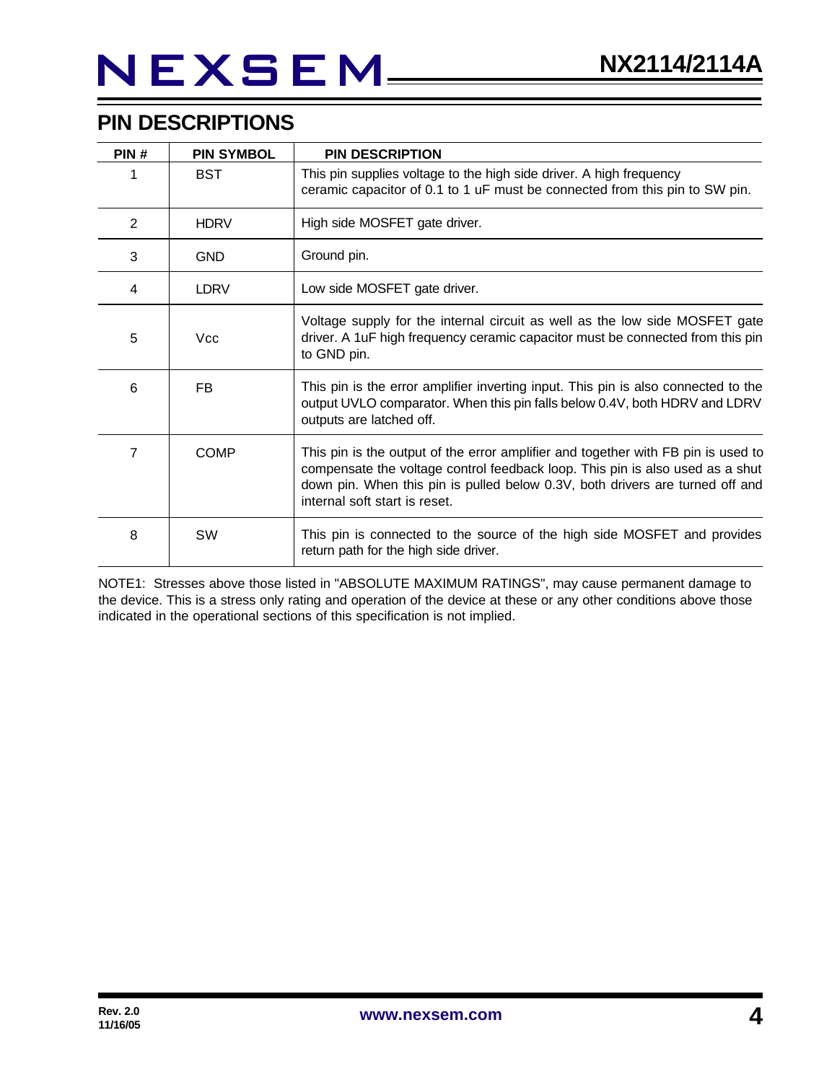## **PIN DESCRIPTIONS**

| PIN# | <b>PIN SYMBOL</b> | <b>PIN DESCRIPTION</b>                                                                                                                                                                                                                                                               |
|------|-------------------|--------------------------------------------------------------------------------------------------------------------------------------------------------------------------------------------------------------------------------------------------------------------------------------|
|      | <b>BST</b>        | This pin supplies voltage to the high side driver. A high frequency<br>ceramic capacitor of 0.1 to 1 uF must be connected from this pin to SW pin.                                                                                                                                   |
| 2    | <b>HDRV</b>       | High side MOSFET gate driver.                                                                                                                                                                                                                                                        |
| 3    | <b>GND</b>        | Ground pin.                                                                                                                                                                                                                                                                          |
| 4    | <b>LDRV</b>       | Low side MOSFET gate driver.                                                                                                                                                                                                                                                         |
| 5    | Vcc               | Voltage supply for the internal circuit as well as the low side MOSFET gate<br>driver. A 1uF high frequency ceramic capacitor must be connected from this pin<br>to GND pin.                                                                                                         |
| 6    | FB.               | This pin is the error amplifier inverting input. This pin is also connected to the<br>output UVLO comparator. When this pin falls below 0.4V, both HDRV and LDRV<br>outputs are latched off.                                                                                         |
| 7    | <b>COMP</b>       | This pin is the output of the error amplifier and together with FB pin is used to<br>compensate the voltage control feedback loop. This pin is also used as a shut<br>down pin. When this pin is pulled below 0.3V, both drivers are turned off and<br>internal soft start is reset. |
| 8    | SW                | This pin is connected to the source of the high side MOSFET and provides<br>return path for the high side driver.                                                                                                                                                                    |

NOTE1: Stresses above those listed in "ABSOLUTE MAXIMUM RATINGS", may cause permanent damage to the device. This is a stress only rating and operation of the device at these or any other conditions above those indicated in the operational sections of this specification is not implied.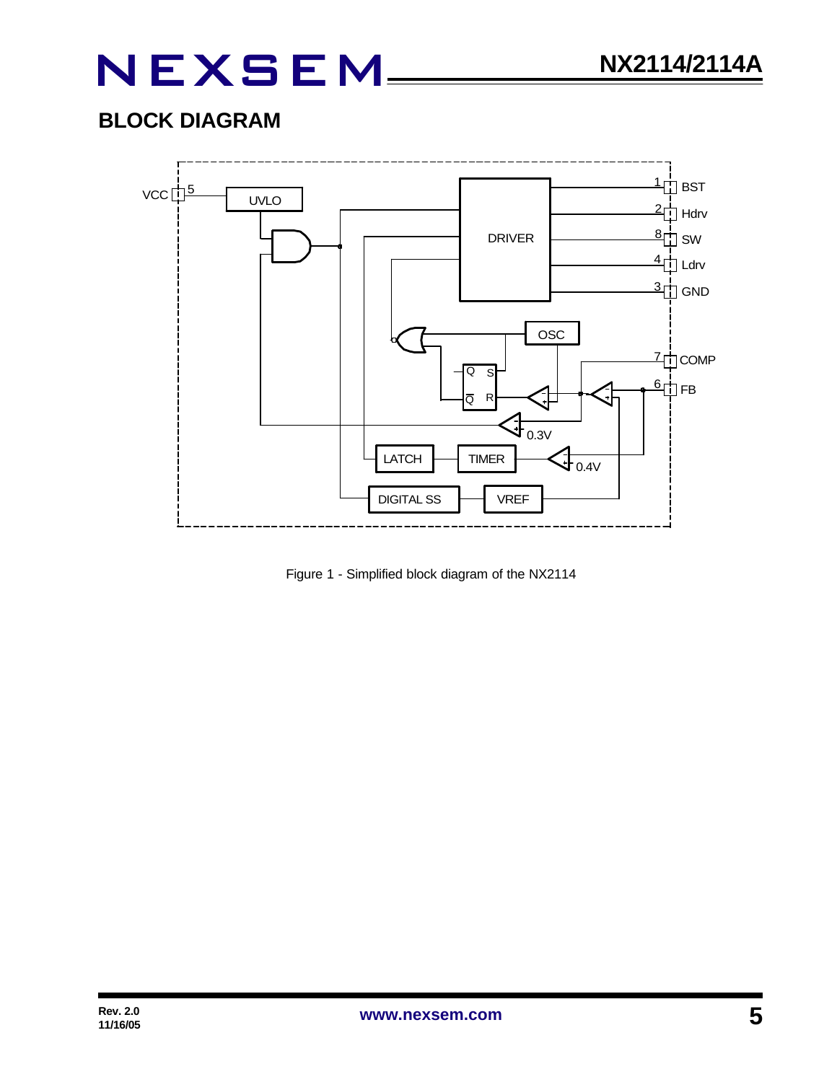## **BLOCK DIAGRAM**



Figure 1 - Simplified block diagram of the NX2114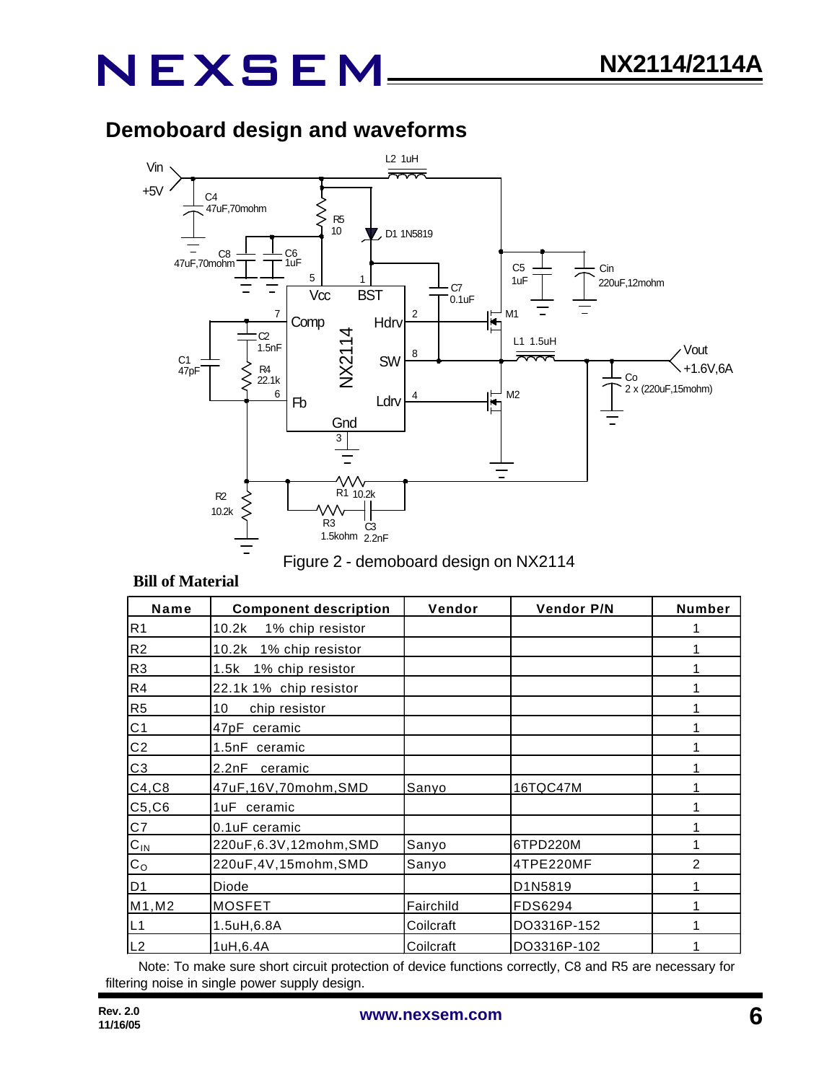## **Demoboard design and waveforms**





#### **Bill of Material**

| Name           | <b>Component description</b> | Vendor    | <b>Vendor P/N</b> | Number         |
|----------------|------------------------------|-----------|-------------------|----------------|
| R <sub>1</sub> | 10.2k<br>1% chip resistor    |           |                   |                |
| R <sub>2</sub> | 10.2k<br>1% chip resistor    |           |                   |                |
| R <sub>3</sub> | 1% chip resistor<br>1.5k     |           |                   |                |
| R4             | 22.1k 1% chip resistor       |           |                   |                |
| R <sub>5</sub> | 10<br>chip resistor          |           |                   |                |
| C <sub>1</sub> | 47pF ceramic                 |           |                   |                |
| C <sub>2</sub> | 1.5nF ceramic                |           |                   |                |
| C <sub>3</sub> | 2.2nF<br>ceramic             |           |                   |                |
| C4, C8         | 47uF,16V,70mohm,SMD          | Sanyo     | 16TQC47M          |                |
| C5, C6         | 1uF ceramic                  |           |                   |                |
| C7             | 0.1uF ceramic                |           |                   |                |
| $C_{IN}$       | 220uF,6.3V,12mohm,SMD        | Sanyo     | 6TPD220M          |                |
| C <sub>O</sub> | 220uF,4V,15mohm,SMD          | Sanyo     | 4TPE220MF         | $\overline{2}$ |
| D <sub>1</sub> | Diode                        |           | D1N5819           |                |
| M1, M2         | <b>MOSFET</b>                | Fairchild | FDS6294           |                |
| L1             | 1.5uH,6.8A                   | Coilcraft | DO3316P-152       |                |
| L2             | 1uH, 6.4A                    | Coilcraft | DO3316P-102       |                |

Note: To make sure short circuit protection of device functions correctly, C8 and R5 are necessary for filtering noise in single power supply design.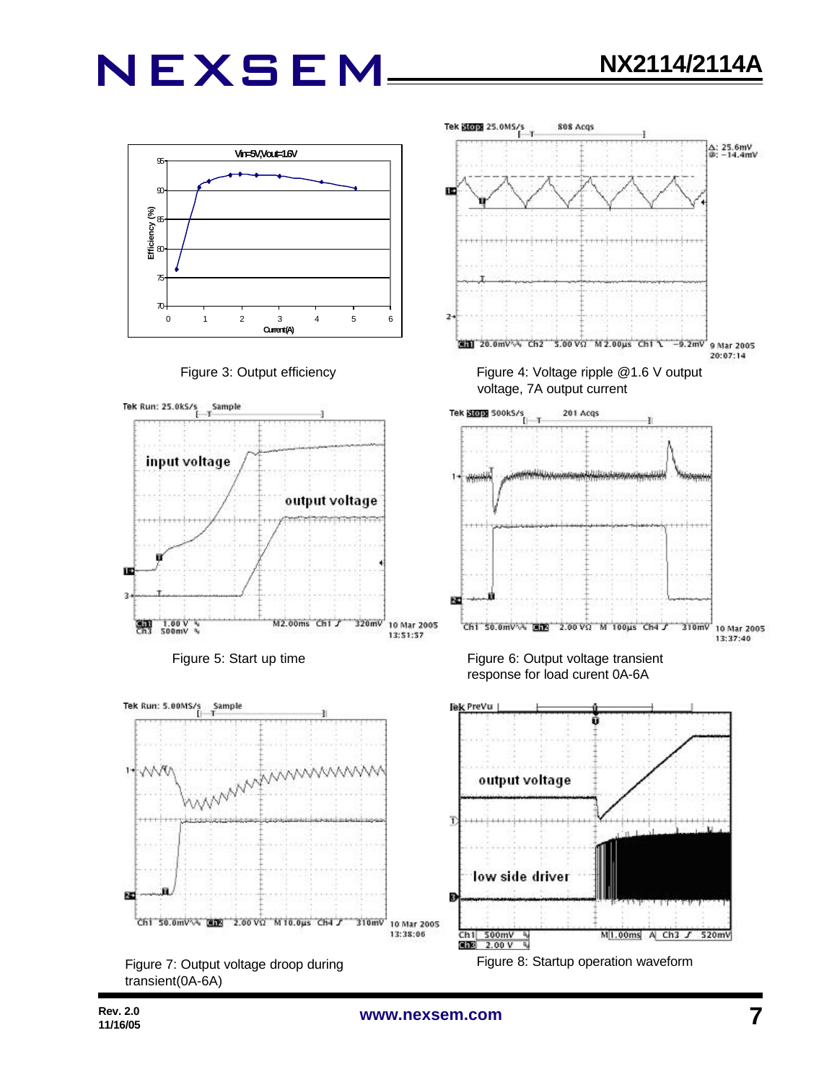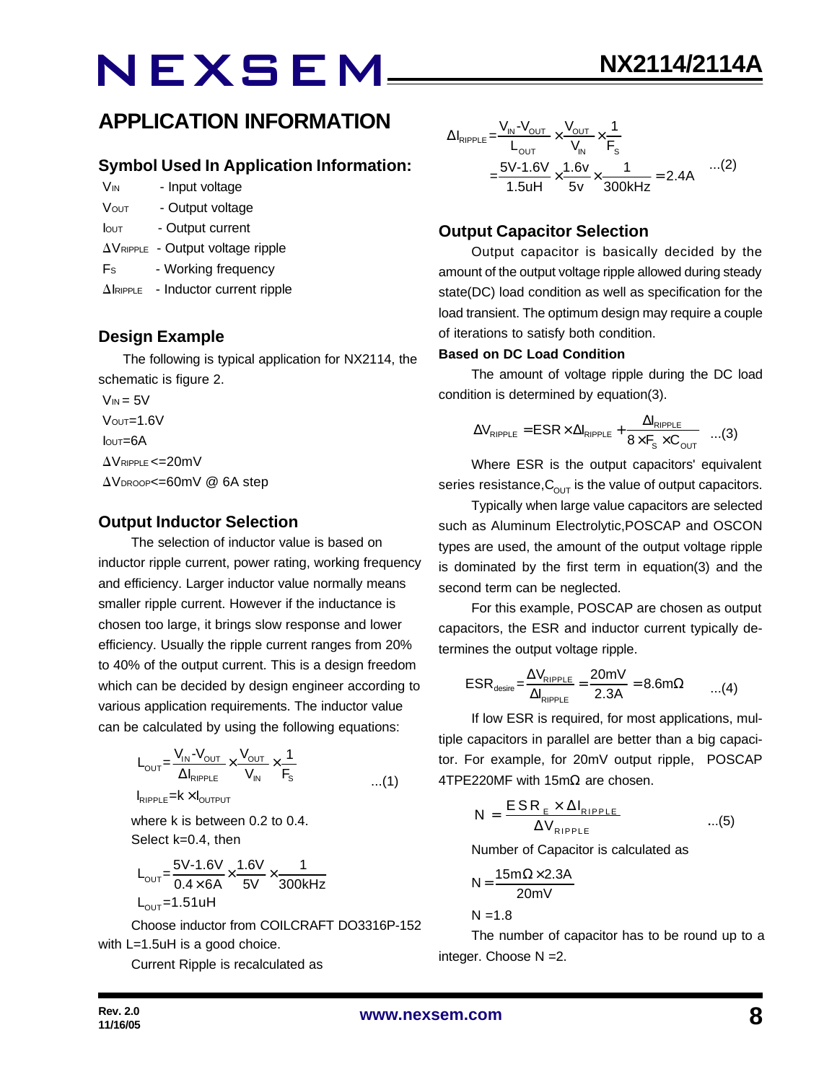### **APPLICATION INFORMATION**

### **Symbol Used In Application Information:**

- V<sub>IN</sub> Input voltage
- VOUT Output voltage
- Iout Output current
- $\Delta V_{\text{RIPPLE}}$  Output voltage ripple
- Fs Working frequency
- $\Delta$ IRIPPLE Inductor current ripple

### **Design Example**

 The following is typical application for NX2114, the schematic is figure 2.

 $V_{IN} = 5V$  $V$ OUT= $1.6V$  $I<sub>QUT</sub>=6A$  $\Delta V$ RIPPLE <= 20mV  $\Delta V_{\text{DROOP}} = 60$ mV @ 6A step

### **Output Inductor Selection**

The selection of inductor value is based on inductor ripple current, power rating, working frequency and efficiency. Larger inductor value normally means smaller ripple current. However if the inductance is chosen too large, it brings slow response and lower efficiency. Usually the ripple current ranges from 20% to 40% of the output current. This is a design freedom which can be decided by design engineer according to various application requirements. The inductor value can be calculated by using the following equations:

$$
L_{\text{OUT}} = \frac{V_{\text{IN}} - V_{\text{OUT}}}{\Delta I_{\text{RIPPLE}}} \times \frac{V_{\text{OUT}}}{V_{\text{IN}}} \times \frac{1}{F_{\text{S}}}
$$
...(1)

 $I_{RIPPLE}$  =  $k \times I_{OUTPUT}$ 

where k is between 0.2 to 0.4. Select k=0.4, then

$$
L_{\text{OUT}} = \frac{5V - 1.6V}{0.4 \times 6A} \times \frac{1.6V}{5V} \times \frac{1}{300kHz}
$$
  
L\_{\text{OUT}} = 1.51uH

Choose inductor from COILCRAFT DO3316P-152 with L=1.5uH is a good choice.

Current Ripple is recalculated as

$$
\Delta I_{\text{RIPPLE}} = \frac{V_{\text{IN}} - V_{\text{OUT}}}{L_{\text{OUT}}} \times \frac{V_{\text{OUT}}}{V_{\text{IN}}} \times \frac{1}{F_{\text{s}}}
$$
  
= 
$$
\frac{5V - 1.6V}{1.5uH} \times \frac{1.6v}{5v} \times \frac{1}{300\text{kHz}} = 2.4A \quad ...(2)
$$

### **Output Capacitor Selection**

Output capacitor is basically decided by the amount of the output voltage ripple allowed during steady state(DC) load condition as well as specification for the load transient. The optimum design may require a couple of iterations to satisfy both condition.

#### **Based on DC Load Condition**

The amount of voltage ripple during the DC load condition is determined by equation(3).

$$
\Delta V_{\text{RIPPLE}} = \text{ESR} \times \Delta I_{\text{RIPPLE}} + \frac{\Delta I_{\text{RIPPLE}}}{8 \times F_s \times C_{\text{OUT}}} \quad ...(3)
$$

Where ESR is the output capacitors' equivalent series resistance,  $C_{\text{OUT}}$  is the value of output capacitors.

Typically when large value capacitors are selected such as Aluminum Electrolytic,POSCAP and OSCON types are used, the amount of the output voltage ripple is dominated by the first term in equation(3) and the second term can be neglected.

For this example, POSCAP are chosen as output capacitors, the ESR and inductor current typically determines the output voltage ripple.

$$
ESR_{\text{desire}} = \frac{\Delta V_{\text{RIPPLE}}}{\Delta I_{\text{RIPPLE}}} = \frac{20 \text{mV}}{2.3 \text{A}} = 8.6 \text{m}\Omega \qquad ...(4)
$$

If low ESR is required, for most applications, multiple capacitors in parallel are better than a big capacitor. For example, for 20mV output ripple, POSCAP 4TPE220MF with 15mΩ are chosen.

$$
N = \frac{ESR_{E} \times \Delta I_{RIPPLE}}{\Delta V_{RIPPLE}} \qquad ...(5)
$$

Number of Capacitor is calculated as

$$
N = \frac{15m\Omega \times 2.3A}{20mV}
$$

 $N = 1.8$ 

The number of capacitor has to be round up to a integer. Choose N =2.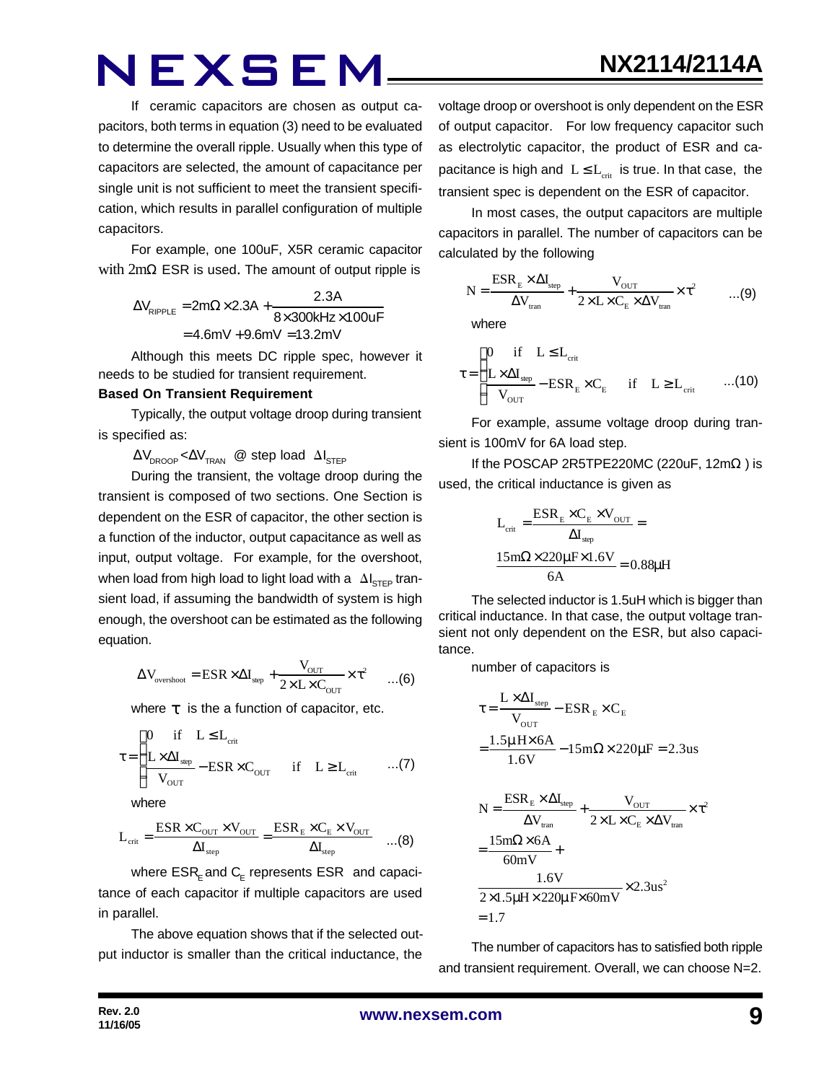If ceramic capacitors are chosen as output capacitors, both terms in equation (3) need to be evaluated to determine the overall ripple. Usually when this type of capacitors are selected, the amount of capacitance per single unit is not sufficient to meet the transient specification, which results in parallel configuration of multiple capacitors.

For example, one 100uF, X5R ceramic capacitor with 2mΩ ESR is used. The amount of output ripple is

$$
\Delta V_{\text{RIPPLE}} = 2m\Omega \times 2.3A + \frac{2.3A}{8 \times 300 \text{kHz} \times 100 \text{uF}}
$$

$$
= 4.6mV + 9.6mV = 13.2mV
$$

Although this meets DC ripple spec, however it needs to be studied for transient requirement.

#### **Based On Transient Requirement**

Typically, the output voltage droop during transient is specified as:

 $\Delta V_{\text{DROOP}} < \Delta V_{\text{TRAN}}$  @ step load  $\Delta I_{\text{STEP}}$ 

During the transient, the voltage droop during the transient is composed of two sections. One Section is dependent on the ESR of capacitor, the other section is a function of the inductor, output capacitance as well as input, output voltage. For example, for the overshoot, when load from high load to light load with a  $\Delta I_{\text{STEP}}$  transient load, if assuming the bandwidth of system is high enough, the overshoot can be estimated as the following equation.

$$
\Delta V_{\text{overshoot}} = \text{ESR} \times \Delta I_{\text{step}} + \frac{V_{\text{OUT}}}{2 \times L \times C_{\text{OUT}}} \times \tau^2 \qquad ... (6)
$$

where *t* is the a function of capacitor, etc.

$$
\tau = \begin{cases}\n0 & \text{if} \quad L \leq L_{\text{crit}} \\
\frac{L \times \Delta I_{\text{step}}}{V_{\text{OUT}}} - \text{ESR} \times C_{\text{OUT}} & \text{if} \quad L \geq L_{\text{crit}} \quad \dots (7)\n\end{cases}
$$

where

$$
L_{\text{crit}} = \frac{\text{ESR} \times C_{\text{OUT}} \times V_{\text{OUT}}}{\Delta I_{\text{step}}} = \frac{\text{ESR}_{\text{E}} \times C_{\text{E}} \times V_{\text{OUT}}}{\Delta I_{\text{step}}} \quad \dots (8)
$$

where  $\mathsf{ESR}_\mathsf{E}$  and  $\mathsf{C}_\mathsf{E}$  represents  $\mathsf{ESR}\;$  and capacitance of each capacitor if multiple capacitors are used in parallel.

The above equation shows that if the selected output inductor is smaller than the critical inductance, the

voltage droop or overshoot is only dependent on the ESR of output capacitor. For low frequency capacitor such as electrolytic capacitor, the product of ESR and capacitance is high and  $L \leq L_{crit}$  is true. In that case, the transient spec is dependent on the ESR of capacitor.

**NX2114/2114A**

In most cases, the output capacitors are multiple capacitors in parallel. The number of capacitors can be calculated by the following

$$
N = \frac{ESR_{E} \times \Delta I_{step}}{\Delta V_{tran}} + \frac{V_{OUT}}{2 \times L \times C_{E} \times \Delta V_{tran}} \times \tau^{2}
$$
 ...(9)

where

$$
\tau = \begin{cases}\n0 & \text{if} \quad L \leq L_{\text{crit}} \\
\frac{L \times \Delta I_{\text{step}}}{V_{\text{OUT}}} - \text{ESR}_{\text{E}} \times C_{\text{E}} & \text{if} \quad L \geq L_{\text{crit}} \quad ...(10)\n\end{cases}
$$

For example, assume voltage droop during transient is 100mV for 6A load step.

If the POSCAP 2R5TPE220MC (220uF,  $12m\Omega$ ) is used, the critical inductance is given as

$$
L_{\text{crit}} = \frac{\text{ESR}_{\text{E}} \times C_{\text{E}} \times V_{\text{OUT}}}{\Delta I_{\text{sep}}} =
$$

$$
\frac{15 \text{m}\Omega \times 220 \mu \text{F} \times 1.6 V}{6 \text{A}} = 0.88 \mu \text{H}
$$

The selected inductor is 1.5uH which is bigger than critical inductance. In that case, the output voltage transient not only dependent on the ESR, but also capacitance.

number of capacitors is

$$
\tau = \frac{L \times \Delta I_{\text{step}}}{V_{\text{OUT}}} - \text{ESR}_{E} \times C_{E}
$$
\n
$$
= \frac{1.5 \mu \text{H} \times 6 \text{A}}{1.6 \text{V}} - 15 \text{m} \Omega \times 220 \mu \text{F} = 2.3 \text{us}
$$
\n
$$
N = \frac{\text{ESR}_{E} \times \Delta I_{\text{step}}}{\Delta V_{\text{tran}}} + \frac{V_{\text{OUT}}}{2 \times L \times C_{E} \times \Delta V_{\text{tran}}} \times \tau^{2}
$$
\n
$$
= \frac{15 \text{m} \Omega \times 6 \text{A}}{60 \text{mV}} + \frac{1.6 \text{V}}{2 \times 1.5 \mu \text{H} \times 220 \mu \text{F} \times 60 \text{mV}} \times 2.3 \text{us}^{2}
$$
\n= 1.7

The number of capacitors has to satisfied both ripple and transient requirement. Overall, we can choose N=2.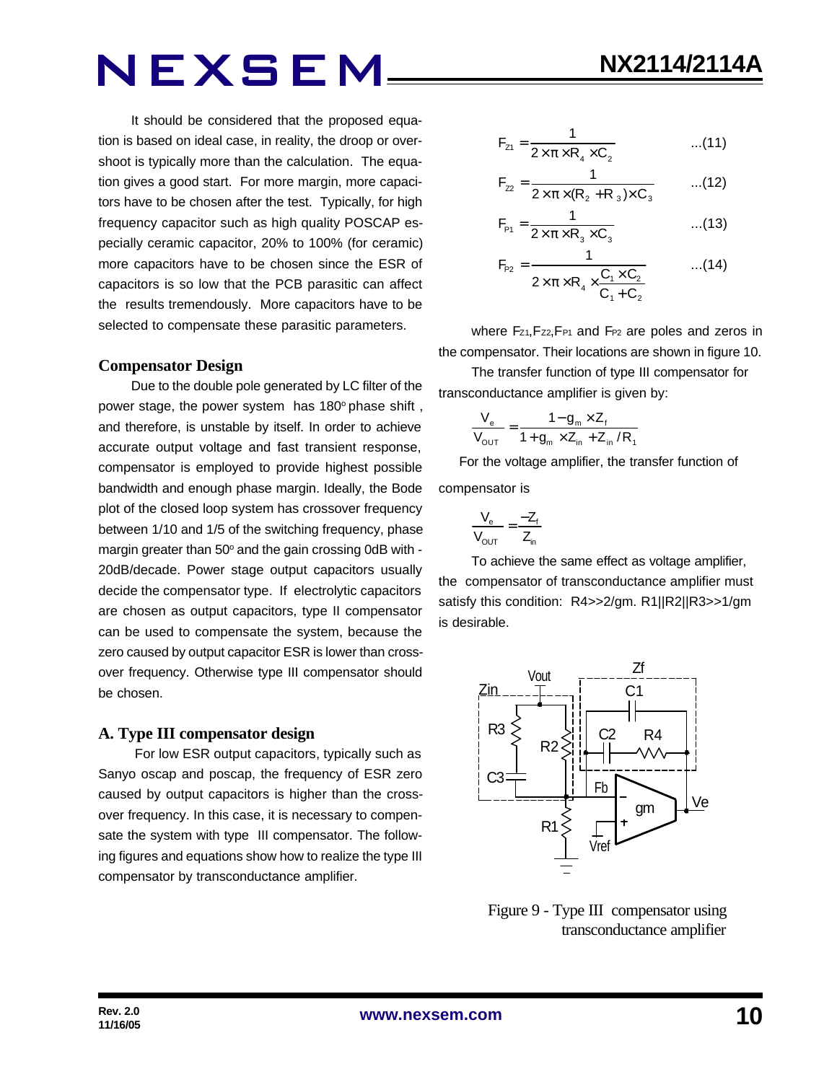It should be considered that the proposed equation is based on ideal case, in reality, the droop or overshoot is typically more than the calculation. The equation gives a good start. For more margin, more capacitors have to be chosen after the test. Typically, for high frequency capacitor such as high quality POSCAP especially ceramic capacitor, 20% to 100% (for ceramic) more capacitors have to be chosen since the ESR of capacitors is so low that the PCB parasitic can affect the results tremendously. More capacitors have to be selected to compensate these parasitic parameters.

#### **Compensator Design**

Due to the double pole generated by LC filter of the power stage, the power system has 180° phase shift, and therefore, is unstable by itself. In order to achieve accurate output voltage and fast transient response, compensator is employed to provide highest possible bandwidth and enough phase margin. Ideally, the Bode plot of the closed loop system has crossover frequency between 1/10 and 1/5 of the switching frequency, phase margin greater than 50° and the gain crossing 0dB with -20dB/decade. Power stage output capacitors usually decide the compensator type. If electrolytic capacitors are chosen as output capacitors, type II compensator can be used to compensate the system, because the zero caused by output capacitor ESR is lower than crossover frequency. Otherwise type III compensator should be chosen.

#### **A. Type III compensator design**

 For low ESR output capacitors, typically such as Sanyo oscap and poscap, the frequency of ESR zero caused by output capacitors is higher than the crossover frequency. In this case, it is necessary to compensate the system with type III compensator. The following figures and equations show how to realize the type III compensator by transconductance amplifier.

$$
F_{z_1} = \frac{1}{2 \times \pi \times R_4 \times C_2}
$$
...(11)

$$
F_{22} = \frac{1}{2 \times \pi \times (R_2 + R_3) \times C_3}
$$
...(12)

$$
F_{\rm{P1}} = \frac{1}{2 \times \pi \times R_3 \times C_3}
$$
...(13)

$$
F_{P2} = \frac{1}{2 \times \pi \times R_4 \times \frac{C_1 \times C_2}{C_1 + C_2}}
$$
...(14)

where Fz<sub>1</sub>, Fz<sub>2</sub>, F<sub>P1</sub> and F<sub>P2</sub> are poles and zeros in the compensator. Their locations are shown in figure 10.

The transfer function of type III compensator for transconductance amplifier is given by:

$$
\frac{V_{e}}{V_{\text{OUT}}} = \frac{1 - g_{m} \times Z_{f}}{1 + g_{m} \times Z_{in} + Z_{in} / R_{f}}
$$

 For the voltage amplifier, the transfer function of compensator is

$$
\frac{V_e}{V_{OUT}} = \frac{-Z_f}{Z_{in}}
$$

To achieve the same effect as voltage amplifier, the compensator of transconductance amplifier must satisfy this condition: R4>>2/gm. R1||R2||R3>>1/gm is desirable.



 Figure 9 - Type III compensator using transconductance amplifier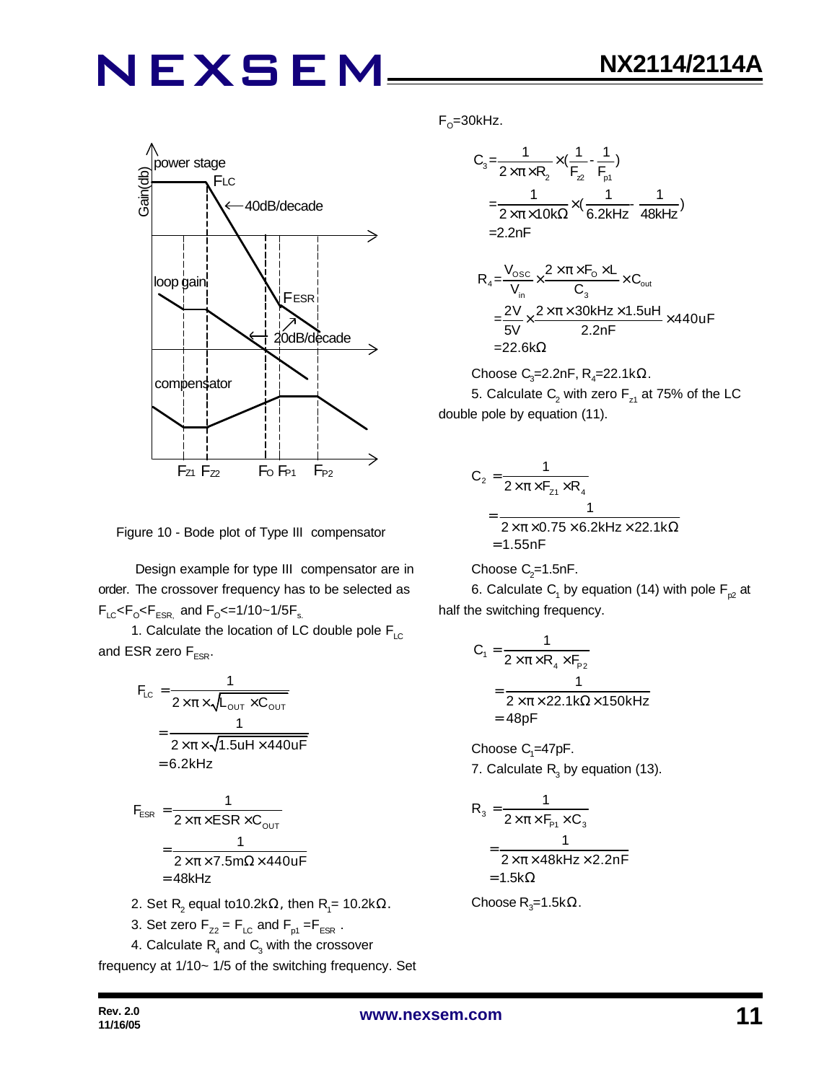

Figure 10 - Bode plot of Type III compensator

 Design example for type III compensator are in order. The crossover frequency has to be selected as  $F_{LC}$ < $F_{\rm o}$ < $F_{ESR,}$  and  $F_{\rm o}$ <=1/10~1/5 $F_{\rm s.}$ 

1. Calculate the location of LC double pole  $F_{\text{LC}}$ and ESR zero  $F_{ESR}$ .

$$
F_{LC} = \frac{1}{2 \times \pi \times \sqrt{L_{OUT} \times C_{OUT}}}
$$
  
= 
$$
\frac{1}{2 \times \pi \times \sqrt{1.5UH \times 440UF}}
$$
  
= 6.2kHz  

$$
F_{ESR} = \frac{1}{2 \times \pi \times ESR \times C_{OUT}}
$$
  
= 
$$
\frac{1}{2 \times \pi \times 7.5m\Omega \times 440UF}
$$
  
= 48kHz  
2. Set R<sub>2</sub> equal to 10.2k $\Omega$ , then R<sub>1</sub>= 10.2k $\Omega$ .

3. Set zero  $F_{Z2} = F_{LC}$  and  $F_{p1} = F_{ESR}$ .

4. Calculate  $\mathsf{R}_{\!{}_4}$  and  $\mathsf{C}_{\!{}_3}$  with the crossover

frequency at 1/10~ 1/5 of the switching frequency. Set

F<sub>o</sub>=30kHz.

$$
C_{3} = \frac{1}{2 \times \pi \times R_{2}} \times (\frac{1}{F_{2}} - \frac{1}{F_{p1}})
$$
  
=  $\frac{1}{2 \times \pi \times 10k\Omega} \times (\frac{1}{6.2kHz} - \frac{1}{48kHz})$   
= 2.2nF

$$
R_{4} = \frac{V_{\text{osc}}}{V_{\text{in}}} \times \frac{2 \times \pi \times F_{\text{o}} \times L}{C_{3}} \times C_{\text{out}}
$$
  
= 
$$
\frac{2V}{5V} \times \frac{2 \times \pi \times 30kHz \times 1.5uH}{2.2nF} \times 440uF
$$
  
= 22.6kΩ

Choose C<sub>3</sub>=2.2nF, R<sub>4</sub>=22.1k $\Omega$ . 5. Calculate  $\mathsf{C}_2$  with zero  $\mathsf{F}_{\mathsf{z}1}$  at 75% of the LC double pole by equation (11).

$$
C_2 = \frac{1}{2 \times \pi \times F_{z1} \times R_4}
$$
  
= 
$$
\frac{1}{2 \times \pi \times 0.75 \times 6.2 \text{kHz} \times 22.1 \text{k}\Omega}
$$
  
= 1.55nF

Choose  $C_2$ =1.5nF.

6. Calculate  $\mathsf{C}_\mathsf{1}$  by equation (14) with pole  $\mathsf{F}_{\mathsf{p2}}$  at half the switching frequency.

$$
C_1 = \frac{1}{2 \times \pi \times R_4 \times F_{P2}}
$$
  
= 
$$
\frac{1}{2 \times \pi \times 22.1 \text{k}\Omega \times 150 \text{kHz}}
$$
  
= 48pF

Choose  $C_1 = 47pF$ . 7. Calculate  $R_3$  by equation (13).

$$
R_3 = \frac{1}{2 \times \pi \times F_{P1} \times C_3}
$$
  
= 
$$
\frac{1}{2 \times \pi \times 48kHz \times 2.2nF}
$$
  
= 1.5k $\Omega$ 

Choose R<sub>3</sub>=1.5kΩ.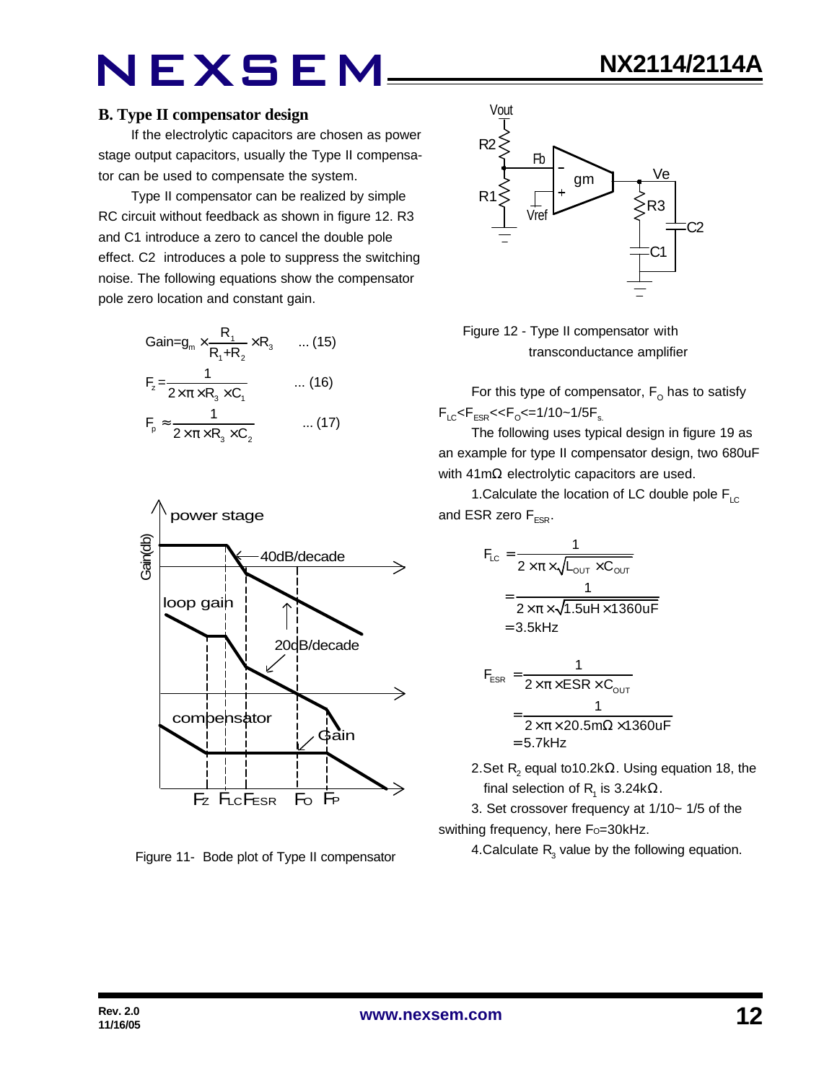If the electrolytic capacitors are chosen as power stage output capacitors, usually the Type II compensator can be used to compensate the system.

Type II compensator can be realized by simple RC circuit without feedback as shown in figure 12. R3 and C1 introduce a zero to cancel the double pole effect. C2 introduces a pole to suppress the switching noise. The following equations show the compensator pole zero location and constant gain.

$$
Gain = g_m \times \frac{R_1}{R_1 + R_2} \times R_3 \qquad \dots (15)
$$
  
\n
$$
F_z = \frac{1}{2 \times \pi \times R_3 \times C_1} \qquad \dots (16)
$$
  
\n
$$
F_p \approx \frac{1}{2 \times \pi \times R_3 \times C_2} \qquad \dots (17)
$$



Figure 11- Bode plot of Type II compensator





For this type of compensator,  $\mathsf{F}_\mathsf{O}$  has to satisfy  $F_{LC}$ < $F_{ESR}$ << $F_{O}$ <=1/10~1/5 $F_{s.}$ 

The following uses typical design in figure 19 as an example for type II compensator design, two 680uF with 41mΩ electrolytic capacitors are used.

1. Calculate the location of LC double pole  $F_{\text{LC}}$ and ESR zero  $F_{FSR}$ .

$$
F_{LC} = \frac{1}{2 \times \pi \times \sqrt{L_{OUT} \times C_{OUT}}}
$$

$$
= \frac{1}{2 \times \pi \times \sqrt{1.5uH \times 1360uF}}
$$

$$
= 3.5kHz
$$

$$
F_{ESR} = \frac{1}{2 \times \pi \times ESR \times C_{OUT}}
$$

$$
= \frac{1}{2 \times \pi \times 20.5 m\Omega \times 1360 uF}
$$

$$
= 5.7 kHz
$$

2.Set  $\mathsf{R}_{\mathsf{2}}$  equal to10.2k $\Omega$ . Using equation 18, the final selection of R<sub>1</sub> is 3.24kΩ.

3. Set crossover frequency at 1/10~ 1/5 of the swithing frequency, here Fo=30kHz.

4.Calculate  $R_3$  value by the following equation.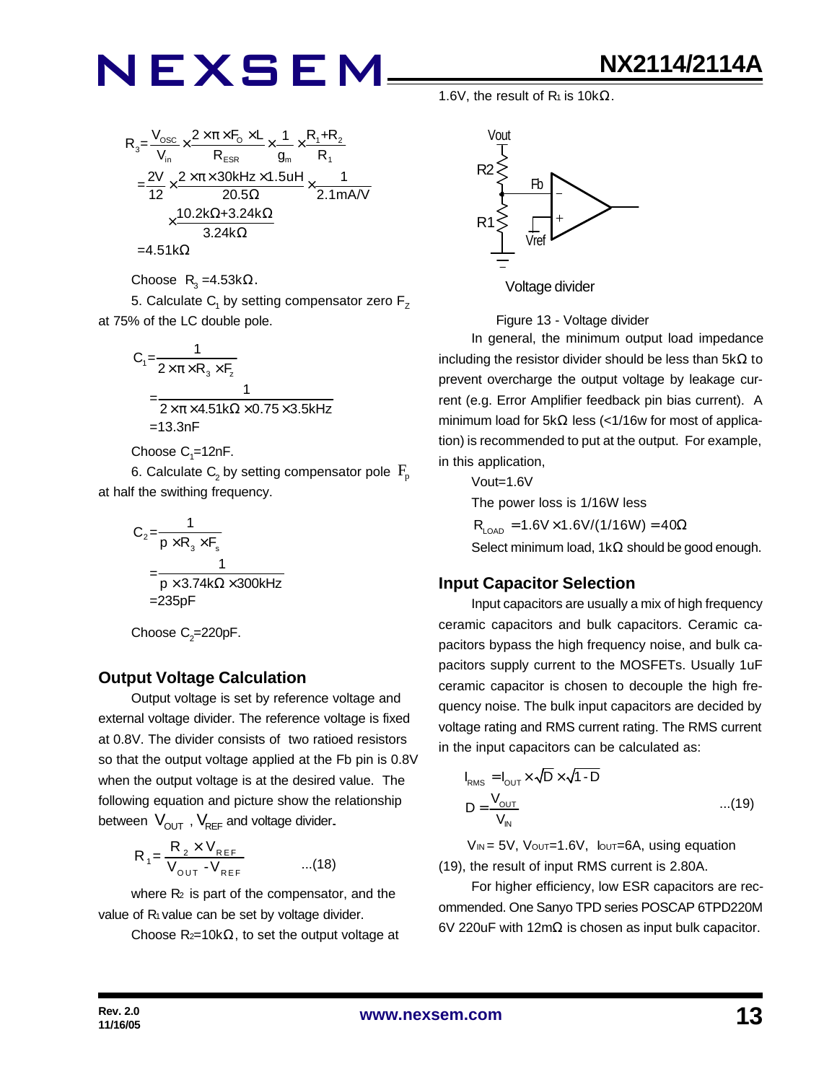

Choose  $R_3 = 4.53k\Omega$ .

5. Calculate  $\mathsf{C}_\mathsf{1}$  by setting compensator zero  $\mathsf{F}_\mathsf{Z}$ at 75% of the LC double pole.

$$
C_1 = \frac{1}{2 \times \pi \times R_3 \times F_2}
$$
  
= 
$$
\frac{1}{2 \times \pi \times 4.51k\Omega \times 0.75 \times 3.5kHz}
$$
  
= 13.3nF

Choose  $\mathsf{C}_\text{\tiny{1}}$ =12nF.

6. Calculate  $\mathsf{C}_\mathsf{2}$  by setting compensator pole  $\,\mathsf{F}_\mathsf{p}\,$ at half the swithing frequency.

$$
C_2 = \frac{1}{p \times R_3 \times F_s}
$$
  
= 
$$
\frac{1}{p \times 3.74k\Omega \times 300kHz}
$$
  
= 235pF

Choose  $\mathrm{C}_2$ =220pF.

### **Output Voltage Calculation**

Output voltage is set by reference voltage and external voltage divider. The reference voltage is fixed at 0.8V. The divider consists of two ratioed resistors so that the output voltage applied at the Fb pin is 0.8V when the output voltage is at the desired value. The following equation and picture show the relationship between  $V_{\text{OUT}}$ ,  $V_{\text{REF}}$  and voltage divider.

$$
R_{1} = \frac{R_{2} \times V_{REF}}{V_{OUT} - V_{REF}} \qquad ...(18)
$$

where  $R<sub>2</sub>$  is part of the compensator, and the value of  $R_1$  value can be set by voltage divider.

Choose  $R_{2}=10k\Omega$ , to set the output voltage at

1.6V, the result of  $R_1$  is 10k $\Omega$ .



Figure 13 - Voltage divider

In general, the minimum output load impedance including the resistor divider should be less than  $5k\Omega$  to prevent overcharge the output voltage by leakage current (e.g. Error Amplifier feedback pin bias current). A minimum load for 5kΩ less (<1/16w for most of application) is recommended to put at the output. For example, in this application,

Vout=1.6V

The power loss is 1/16W less

 $R_{\text{LOAD}} = 1.6V \times 1.6V/(1/16W) = 40\Omega$ Select minimum load, 1kΩ should be good enough.

### **Input Capacitor Selection**

Input capacitors are usually a mix of high frequency ceramic capacitors and bulk capacitors. Ceramic capacitors bypass the high frequency noise, and bulk capacitors supply current to the MOSFETs. Usually 1uF ceramic capacitor is chosen to decouple the high frequency noise. The bulk input capacitors are decided by voltage rating and RMS current rating. The RMS current in the input capacitors can be calculated as:

$$
I_{\text{RMS}} = I_{\text{OUT}} \times \sqrt{D} \times \sqrt{1 - D}
$$
  

$$
D = \frac{V_{\text{OUT}}}{V_{\text{IN}}} \qquad ...(19)
$$

 $V_{IN} = 5V$ ,  $V_{OUT} = 1.6V$ ,  $I_{OUT} = 6A$ , using equation (19), the result of input RMS current is 2.80A.

For higher efficiency, low ESR capacitors are recommended. One Sanyo TPD series POSCAP 6TPD220M 6V 220uF with 12mΩ is chosen as input bulk capacitor.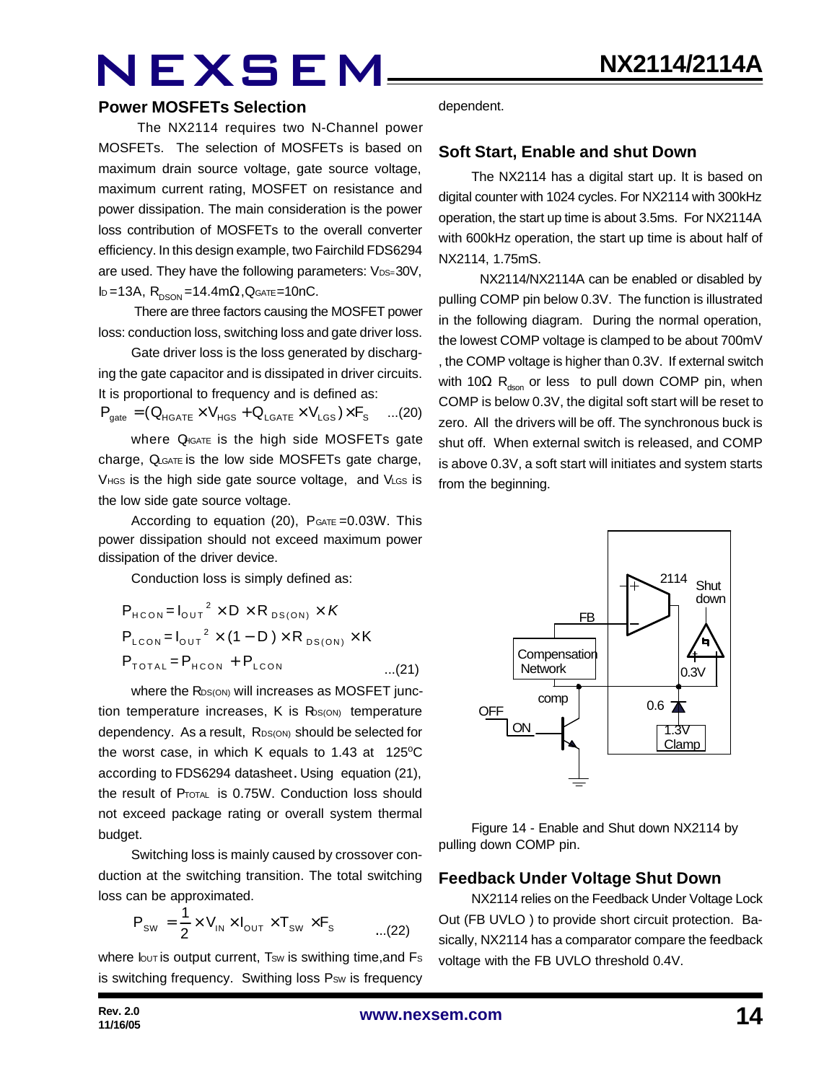#### **Power MOSFETs Selection**

The NX2114 requires two N-Channel power MOSFETs. The selection of MOSFETs is based on maximum drain source voltage, gate source voltage, maximum current rating, MOSFET on resistance and power dissipation. The main consideration is the power loss contribution of MOSFETs to the overall converter efficiency. In this design example, two Fairchild FDS6294 are used. They have the following parameters: VDS=30V, ID=13A,  $R_{DSON} = 14.4$ m $\Omega$ , QGATE=10nC.

 There are three factors causing the MOSFET power loss: conduction loss, switching loss and gate driver loss.

Gate driver loss is the loss generated by discharging the gate capacitor and is dissipated in driver circuits. It is proportional to frequency and is defined as:

$$
\boldsymbol{P}_{\text{gate}} = (\boldsymbol{Q}_{\text{HGATE}} \times \boldsymbol{V}_{\text{HGS}} + \boldsymbol{Q}_{\text{LGATE}} \times \boldsymbol{V}_{\text{LGS}}) \times \boldsymbol{F}_{\text{S}} \quad ... (20)
$$

where  $Q_{\text{IGATE}}$  is the high side MOSFETs gate charge, QLGATE is the low side MOSFETs gate charge, VHGS is the high side gate source voltage, and VLGS is the low side gate source voltage.

According to equation  $(20)$ ,  $P_{GATE} = 0.03W$ . This power dissipation should not exceed maximum power dissipation of the driver device.

Conduction loss is simply defined as:

$$
P_{HCON} = I_{OUT}^{2} \times D \times R_{DS(ON)} \times K
$$
  
\n
$$
P_{LCON} = I_{OUT}^{2} \times (1 - D) \times R_{DS(ON)} \times K
$$
  
\n
$$
P_{TOTAL} = P_{HCON} + P_{LCON}
$$
...(21)

where the RDS(ON) will increases as MOSFET junction temperature increases,  $K$  is  $R_{\text{DS}(\text{ON})}$  temperature dependency. As a result, RDS(ON) should be selected for the worst case, in which K equals to 1.43 at  $125^{\circ}$ C according to FDS6294 datasheet. Using equation (21), the result of PTOTAL is 0.75W. Conduction loss should not exceed package rating or overall system thermal budget.

Switching loss is mainly caused by crossover conduction at the switching transition. The total switching loss can be approximated.

$$
P_{\text{SW}} = \frac{1}{2} \times V_{\text{IN}} \times I_{\text{OUT}} \times T_{\text{SW}} \times F_{\text{s}} \quad \dots (22)
$$

where  $I_{\text{OUT}}$  is output current, Tsw is swithing time, and Fs is switching frequency. Swithing loss Psw is frequency dependent.

#### **Soft Start, Enable and shut Down**

The NX2114 has a digital start up. It is based on digital counter with 1024 cycles. For NX2114 with 300kHz operation, the start up time is about 3.5ms. For NX2114A with 600kHz operation, the start up time is about half of NX2114, 1.75mS.

 NX2114/NX2114A can be enabled or disabled by pulling COMP pin below 0.3V. The function is illustrated in the following diagram. During the normal operation, the lowest COMP voltage is clamped to be about 700mV , the COMP voltage is higher than 0.3V. If external switch with 10 $\Omega$  R<sub>dson</sub> or less to pull down COMP pin, when COMP is below 0.3V, the digital soft start will be reset to zero. All the drivers will be off. The synchronous buck is shut off. When external switch is released, and COMP is above 0.3V, a soft start will initiates and system starts from the beginning.



Figure 14 - Enable and Shut down NX2114 by pulling down COMP pin.

### **Feedback Under Voltage Shut Down**

NX2114 relies on the Feedback Under Voltage Lock Out (FB UVLO ) to provide short circuit protection. Basically, NX2114 has a comparator compare the feedback voltage with the FB UVLO threshold 0.4V.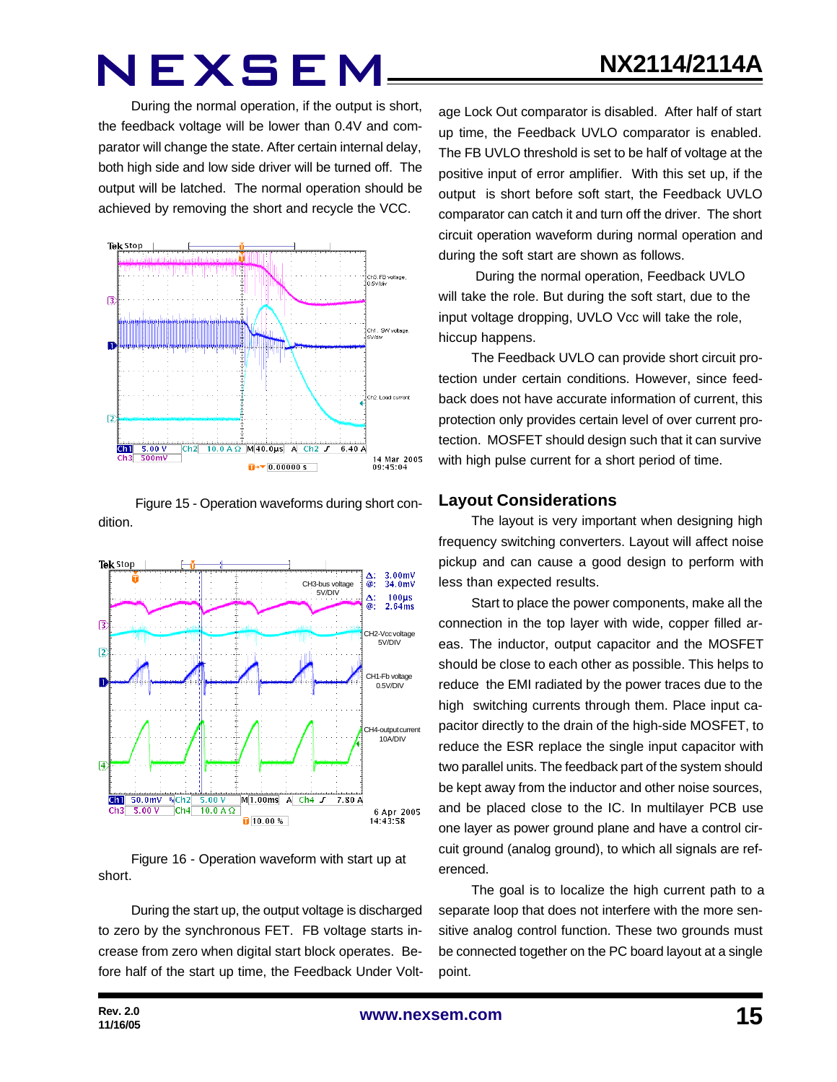During the normal operation, if the output is short, the feedback voltage will be lower than 0.4V and comparator will change the state. After certain internal delay, both high side and low side driver will be turned off. The output will be latched. The normal operation should be achieved by removing the short and recycle the VCC.



Figure 15 - Operation waveforms during short condition.



Figure 16 - Operation waveform with start up at short.

During the start up, the output voltage is discharged to zero by the synchronous FET. FB voltage starts increase from zero when digital start block operates. Before half of the start up time, the Feedback Under Volt-

age Lock Out comparator is disabled. After half of start up time, the Feedback UVLO comparator is enabled. The FB UVLO threshold is set to be half of voltage at the positive input of error amplifier. With this set up, if the output is short before soft start, the Feedback UVLO comparator can catch it and turn off the driver. The short circuit operation waveform during normal operation and during the soft start are shown as follows.

 During the normal operation, Feedback UVLO will take the role. But during the soft start, due to the input voltage dropping, UVLO Vcc will take the role, hiccup happens.

The Feedback UVLO can provide short circuit protection under certain conditions. However, since feedback does not have accurate information of current, this protection only provides certain level of over current protection. MOSFET should design such that it can survive with high pulse current for a short period of time.

### **Layout Considerations**

The layout is very important when designing high frequency switching converters. Layout will affect noise pickup and can cause a good design to perform with less than expected results.

Start to place the power components, make all the connection in the top layer with wide, copper filled areas. The inductor, output capacitor and the MOSFET should be close to each other as possible. This helps to reduce the EMI radiated by the power traces due to the high switching currents through them. Place input capacitor directly to the drain of the high-side MOSFET, to reduce the ESR replace the single input capacitor with two parallel units. The feedback part of the system should be kept away from the inductor and other noise sources, and be placed close to the IC. In multilayer PCB use one layer as power ground plane and have a control circuit ground (analog ground), to which all signals are referenced.

The goal is to localize the high current path to a separate loop that does not interfere with the more sensitive analog control function. These two grounds must be connected together on the PC board layout at a single point.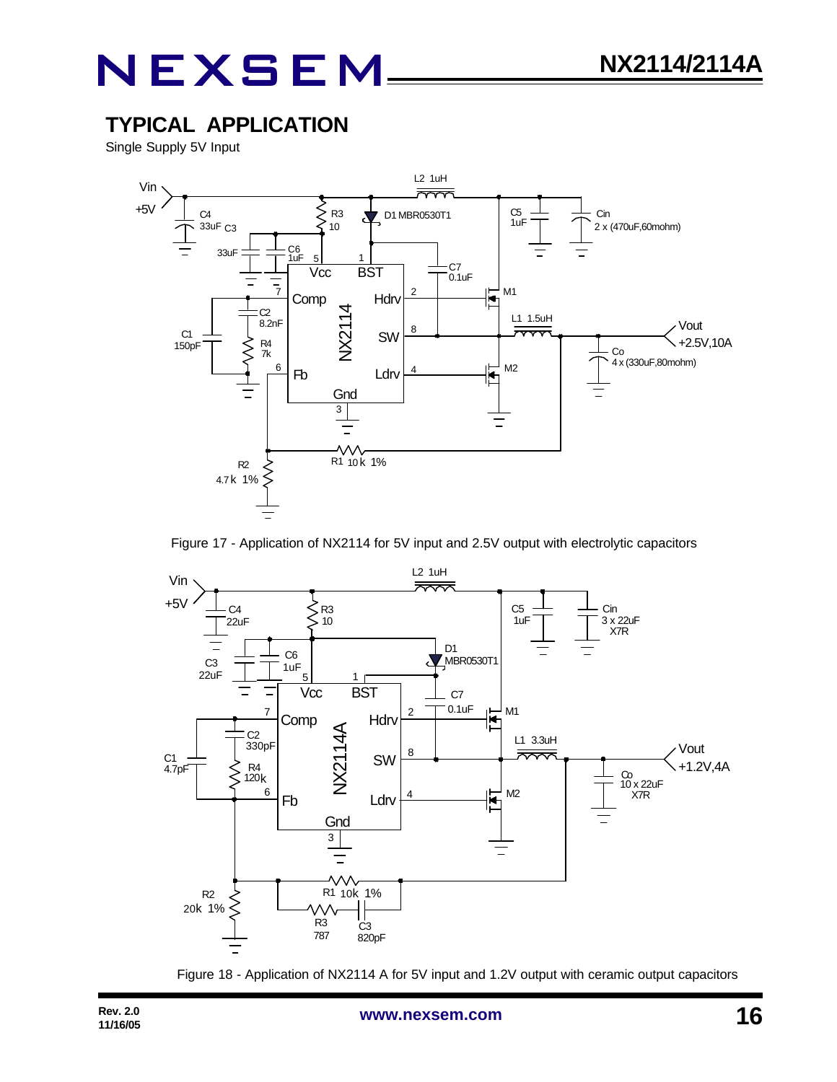## **TYPICAL APPLICATION**

Single Supply 5V Input



Figure 17 - Application of NX2114 for 5V input and 2.5V output with electrolytic capacitors



Figure 18 - Application of NX2114 A for 5V input and 1.2V output with ceramic output capacitors